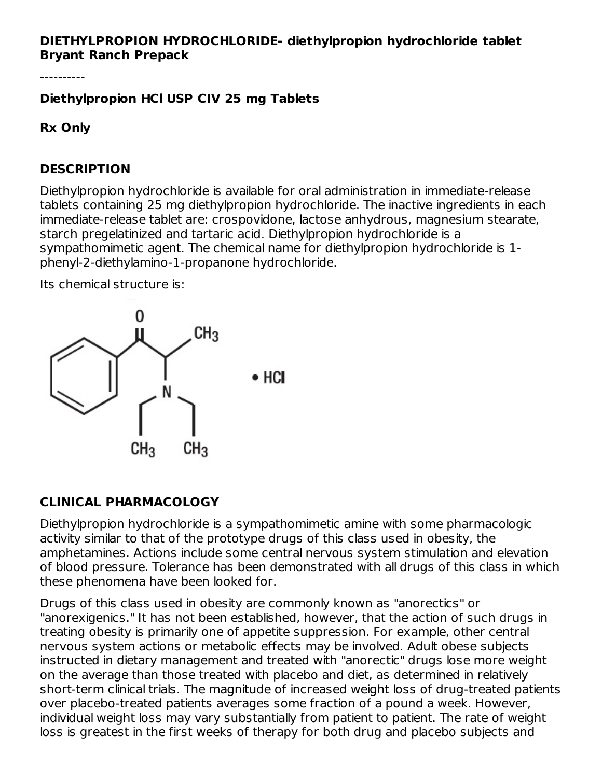#### **DIETHYLPROPION HYDROCHLORIDE- diethylpropion hydrochloride tablet Bryant Ranch Prepack**

#### **Diethylpropion HCl USP CIV 25 mg Tablets**

#### **Rx Only**

#### **DESCRIPTION**

Diethylpropion hydrochloride is available for oral administration in immediate-release tablets containing 25 mg diethylpropion hydrochloride. The inactive ingredients in each immediate-release tablet are: crospovidone, lactose anhydrous, magnesium stearate, starch pregelatinized and tartaric acid. Diethylpropion hydrochloride is a sympathomimetic agent. The chemical name for diethylpropion hydrochloride is 1 phenyl-2-diethylamino-1-propanone hydrochloride.

Its chemical structure is:



## **CLINICAL PHARMACOLOGY**

Diethylpropion hydrochloride is a sympathomimetic amine with some pharmacologic activity similar to that of the prototype drugs of this class used in obesity, the amphetamines. Actions include some central nervous system stimulation and elevation of blood pressure. Tolerance has been demonstrated with all drugs of this class in which these phenomena have been looked for.

Drugs of this class used in obesity are commonly known as "anorectics" or "anorexigenics." It has not been established, however, that the action of such drugs in treating obesity is primarily one of appetite suppression. For example, other central nervous system actions or metabolic effects may be involved. Adult obese subjects instructed in dietary management and treated with "anorectic" drugs lose more weight on the average than those treated with placebo and diet, as determined in relatively short-term clinical trials. The magnitude of increased weight loss of drug-treated patients over placebo-treated patients averages some fraction of a pound a week. However, individual weight loss may vary substantially from patient to patient. The rate of weight loss is greatest in the first weeks of therapy for both drug and placebo subjects and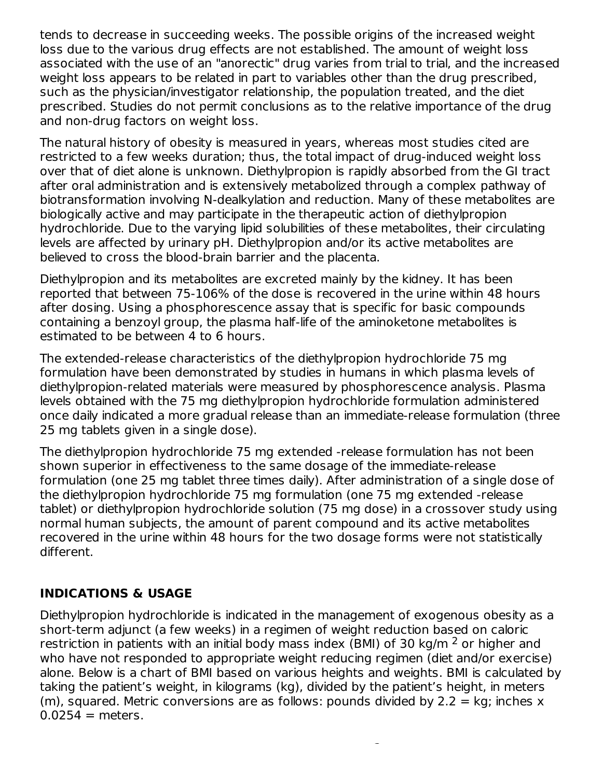tends to decrease in succeeding weeks. The possible origins of the increased weight loss due to the various drug effects are not established. The amount of weight loss associated with the use of an "anorectic" drug varies from trial to trial, and the increased weight loss appears to be related in part to variables other than the drug prescribed, such as the physician/investigator relationship, the population treated, and the diet prescribed. Studies do not permit conclusions as to the relative importance of the drug and non-drug factors on weight loss.

The natural history of obesity is measured in years, whereas most studies cited are restricted to a few weeks duration; thus, the total impact of drug-induced weight loss over that of diet alone is unknown. Diethylpropion is rapidly absorbed from the GI tract after oral administration and is extensively metabolized through a complex pathway of biotransformation involving N-dealkylation and reduction. Many of these metabolites are biologically active and may participate in the therapeutic action of diethylpropion hydrochloride. Due to the varying lipid solubilities of these metabolites, their circulating levels are affected by urinary pH. Diethylpropion and/or its active metabolites are believed to cross the blood-brain barrier and the placenta.

Diethylpropion and its metabolites are excreted mainly by the kidney. It has been reported that between 75-106% of the dose is recovered in the urine within 48 hours after dosing. Using a phosphorescence assay that is specific for basic compounds containing a benzoyl group, the plasma half-life of the aminoketone metabolites is estimated to be between 4 to 6 hours.

The extended-release characteristics of the diethylpropion hydrochloride 75 mg formulation have been demonstrated by studies in humans in which plasma levels of diethylpropion-related materials were measured by phosphorescence analysis. Plasma levels obtained with the 75 mg diethylpropion hydrochloride formulation administered once daily indicated a more gradual release than an immediate-release formulation (three 25 mg tablets given in a single dose).

The diethylpropion hydrochloride 75 mg extended -release formulation has not been shown superior in effectiveness to the same dosage of the immediate-release formulation (one 25 mg tablet three times daily). After administration of a single dose of the diethylpropion hydrochloride 75 mg formulation (one 75 mg extended -release tablet) or diethylpropion hydrochloride solution (75 mg dose) in a crossover study using normal human subjects, the amount of parent compound and its active metabolites recovered in the urine within 48 hours for the two dosage forms were not statistically different.

## **INDICATIONS & USAGE**

Diethylpropion hydrochloride is indicated in the management of exogenous obesity as a short-term adjunct (a few weeks) in a regimen of weight reduction based on caloric restriction in patients with an initial body mass index (BMI) of 30 kg/m  $^2$  or higher and who have not responded to appropriate weight reducing regimen (diet and/or exercise) alone. Below is a chart of BMI based on various heights and weights. BMI is calculated by taking the patient's weight, in kilograms (kg), divided by the patient's height, in meters (m), squared. Metric conversions are as follows: pounds divided by 2.2 = kg; inches  $x$  $0.0254$  = meters.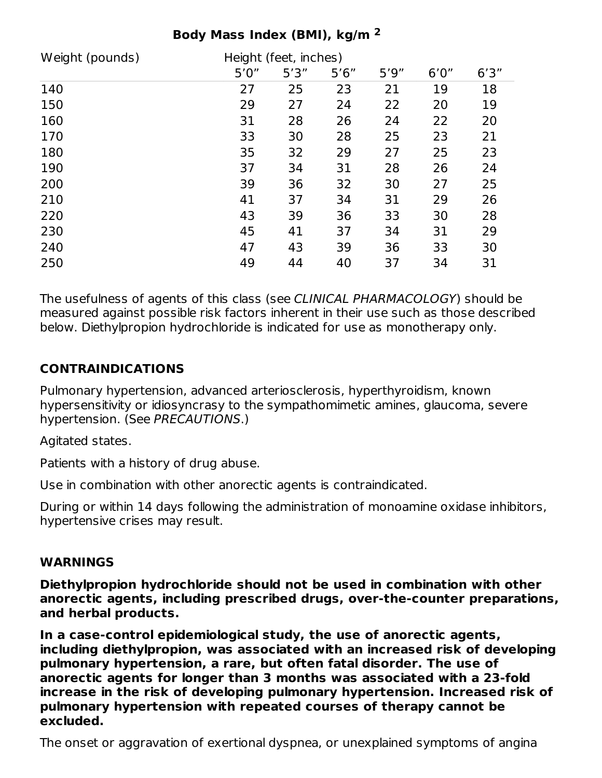## **Body Mass Index (BMI), kg/m 2**

| Weight (pounds) | Height (feet, inches) |       |       |       |       |       |  |
|-----------------|-----------------------|-------|-------|-------|-------|-------|--|
|                 | 5'0''                 | 5'3'' | 5'6'' | 5'9'' | 6'0'' | 6'3'' |  |
| 140             | 27                    | 25    | 23    | 21    | 19    | 18    |  |
| 150             | 29                    | 27    | 24    | 22    | 20    | 19    |  |
| 160             | 31                    | 28    | 26    | 24    | 22    | 20    |  |
| 170             | 33                    | 30    | 28    | 25    | 23    | 21    |  |
| 180             | 35                    | 32    | 29    | 27    | 25    | 23    |  |
| 190             | 37                    | 34    | 31    | 28    | 26    | 24    |  |
| 200             | 39                    | 36    | 32    | 30    | 27    | 25    |  |
| 210             | 41                    | 37    | 34    | 31    | 29    | 26    |  |
| 220             | 43                    | 39    | 36    | 33    | 30    | 28    |  |
| 230             | 45                    | 41    | 37    | 34    | 31    | 29    |  |
| 240             | 47                    | 43    | 39    | 36    | 33    | 30    |  |
| 250             | 49                    | 44    | 40    | 37    | 34    | 31    |  |

The usefulness of agents of this class (see CLINICAL PHARMACOLOGY) should be measured against possible risk factors inherent in their use such as those described below. Diethylpropion hydrochloride is indicated for use as monotherapy only.

#### **CONTRAINDICATIONS**

Pulmonary hypertension, advanced arteriosclerosis, hyperthyroidism, known hypersensitivity or idiosyncrasy to the sympathomimetic amines, glaucoma, severe hypertension. (See PRECAUTIONS.)

Agitated states.

Patients with a history of drug abuse.

Use in combination with other anorectic agents is contraindicated.

During or within 14 days following the administration of monoamine oxidase inhibitors, hypertensive crises may result.

#### **WARNINGS**

**Diethylpropion hydrochloride should not be used in combination with other anorectic agents, including prescribed drugs, over-the-counter preparations, and herbal products.**

**In a case-control epidemiological study, the use of anorectic agents, including diethylpropion, was associated with an increased risk of developing pulmonary hypertension, a rare, but often fatal disorder. The use of anorectic agents for longer than 3 months was associated with a 23-fold increase in the risk of developing pulmonary hypertension. Increased risk of pulmonary hypertension with repeated courses of therapy cannot be excluded.**

The onset or aggravation of exertional dyspnea, or unexplained symptoms of angina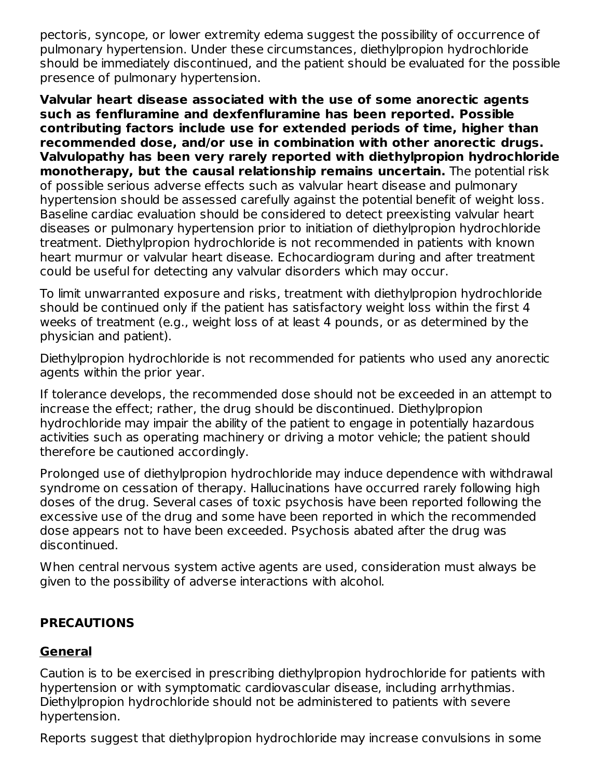pectoris, syncope, or lower extremity edema suggest the possibility of occurrence of pulmonary hypertension. Under these circumstances, diethylpropion hydrochloride should be immediately discontinued, and the patient should be evaluated for the possible presence of pulmonary hypertension.

**Valvular heart disease associated with the use of some anorectic agents such as fenfluramine and dexfenfluramine has been reported. Possible contributing factors include use for extended periods of time, higher than recommended dose, and/or use in combination with other anorectic drugs. Valvulopathy has been very rarely reported with diethylpropion hydrochloride monotherapy, but the causal relationship remains uncertain.** The potential risk of possible serious adverse effects such as valvular heart disease and pulmonary hypertension should be assessed carefully against the potential benefit of weight loss. Baseline cardiac evaluation should be considered to detect preexisting valvular heart diseases or pulmonary hypertension prior to initiation of diethylpropion hydrochloride treatment. Diethylpropion hydrochloride is not recommended in patients with known heart murmur or valvular heart disease. Echocardiogram during and after treatment could be useful for detecting any valvular disorders which may occur.

To limit unwarranted exposure and risks, treatment with diethylpropion hydrochloride should be continued only if the patient has satisfactory weight loss within the first 4 weeks of treatment (e.g., weight loss of at least 4 pounds, or as determined by the physician and patient).

Diethylpropion hydrochloride is not recommended for patients who used any anorectic agents within the prior year.

If tolerance develops, the recommended dose should not be exceeded in an attempt to increase the effect; rather, the drug should be discontinued. Diethylpropion hydrochloride may impair the ability of the patient to engage in potentially hazardous activities such as operating machinery or driving a motor vehicle; the patient should therefore be cautioned accordingly.

Prolonged use of diethylpropion hydrochloride may induce dependence with withdrawal syndrome on cessation of therapy. Hallucinations have occurred rarely following high doses of the drug. Several cases of toxic psychosis have been reported following the excessive use of the drug and some have been reported in which the recommended dose appears not to have been exceeded. Psychosis abated after the drug was discontinued.

When central nervous system active agents are used, consideration must always be given to the possibility of adverse interactions with alcohol.

## **PRECAUTIONS**

## **General**

Caution is to be exercised in prescribing diethylpropion hydrochloride for patients with hypertension or with symptomatic cardiovascular disease, including arrhythmias. Diethylpropion hydrochloride should not be administered to patients with severe hypertension.

Reports suggest that diethylpropion hydrochloride may increase convulsions in some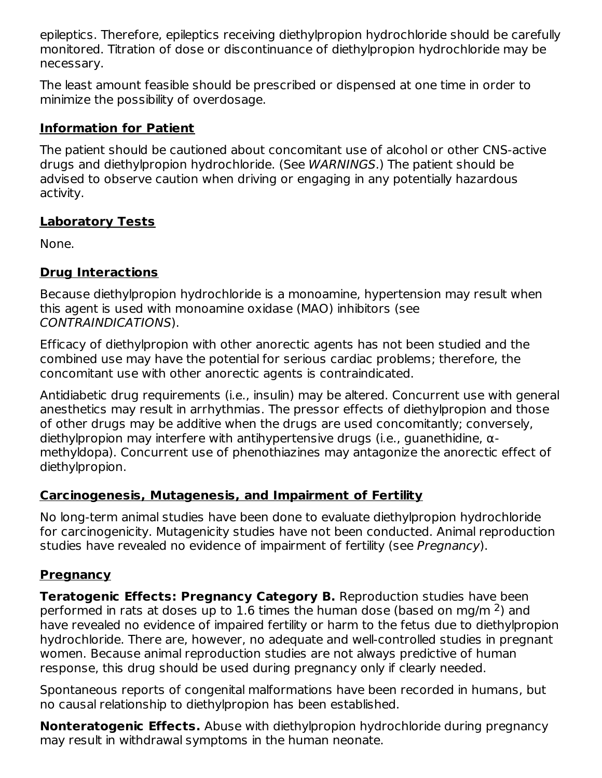epileptics. Therefore, epileptics receiving diethylpropion hydrochloride should be carefully monitored. Titration of dose or discontinuance of diethylpropion hydrochloride may be necessary.

The least amount feasible should be prescribed or dispensed at one time in order to minimize the possibility of overdosage.

## **Information for Patient**

The patient should be cautioned about concomitant use of alcohol or other CNS-active drugs and diethylpropion hydrochloride. (See WARNINGS.) The patient should be advised to observe caution when driving or engaging in any potentially hazardous activity.

## **Laboratory Tests**

None.

# **Drug Interactions**

Because diethylpropion hydrochloride is a monoamine, hypertension may result when this agent is used with monoamine oxidase (MAO) inhibitors (see CONTRAINDICATIONS).

Efficacy of diethylpropion with other anorectic agents has not been studied and the combined use may have the potential for serious cardiac problems; therefore, the concomitant use with other anorectic agents is contraindicated.

Antidiabetic drug requirements (i.e., insulin) may be altered. Concurrent use with general anesthetics may result in arrhythmias. The pressor effects of diethylpropion and those of other drugs may be additive when the drugs are used concomitantly; conversely, diethylpropion may interfere with antihypertensive drugs (i.e., guanethidine, αmethyldopa). Concurrent use of phenothiazines may antagonize the anorectic effect of diethylpropion.

## **Carcinogenesis, Mutagenesis, and Impairment of Fertility**

No long-term animal studies have been done to evaluate diethylpropion hydrochloride for carcinogenicity. Mutagenicity studies have not been conducted. Animal reproduction studies have revealed no evidence of impairment of fertility (see Pregnancy).

# **Pregnancy**

**Teratogenic Effects: Pregnancy Category B.** Reproduction studies have been performed in rats at doses up to 1.6 times the human dose (based on mg/m  $^2$ ) and have revealed no evidence of impaired fertility or harm to the fetus due to diethylpropion hydrochloride. There are, however, no adequate and well-controlled studies in pregnant women. Because animal reproduction studies are not always predictive of human response, this drug should be used during pregnancy only if clearly needed.

Spontaneous reports of congenital malformations have been recorded in humans, but no causal relationship to diethylpropion has been established.

**Nonteratogenic Effects.** Abuse with diethylpropion hydrochloride during pregnancy may result in withdrawal symptoms in the human neonate.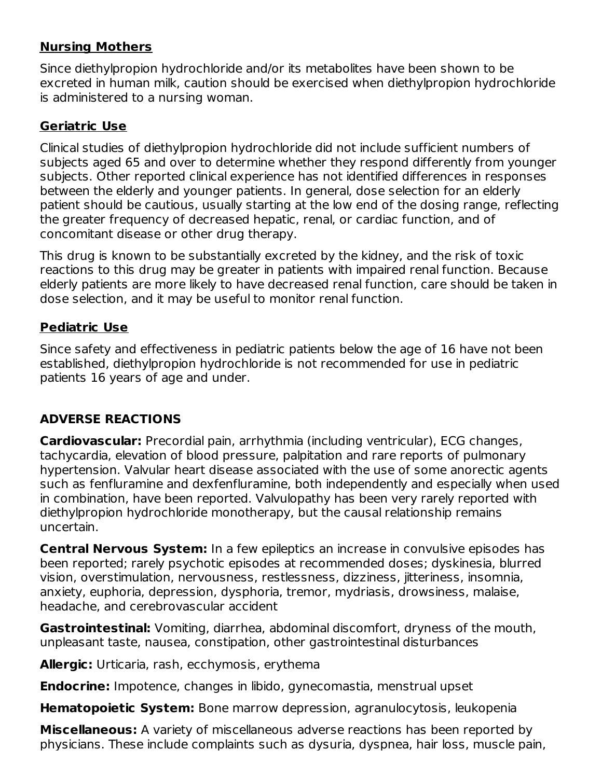#### **Nursing Mothers**

Since diethylpropion hydrochloride and/or its metabolites have been shown to be excreted in human milk, caution should be exercised when diethylpropion hydrochloride is administered to a nursing woman.

## **Geriatric Use**

Clinical studies of diethylpropion hydrochloride did not include sufficient numbers of subjects aged 65 and over to determine whether they respond differently from younger subjects. Other reported clinical experience has not identified differences in responses between the elderly and younger patients. In general, dose selection for an elderly patient should be cautious, usually starting at the low end of the dosing range, reflecting the greater frequency of decreased hepatic, renal, or cardiac function, and of concomitant disease or other drug therapy.

This drug is known to be substantially excreted by the kidney, and the risk of toxic reactions to this drug may be greater in patients with impaired renal function. Because elderly patients are more likely to have decreased renal function, care should be taken in dose selection, and it may be useful to monitor renal function.

## **Pediatric Use**

Since safety and effectiveness in pediatric patients below the age of 16 have not been established, diethylpropion hydrochloride is not recommended for use in pediatric patients 16 years of age and under.

# **ADVERSE REACTIONS**

**Cardiovascular:** Precordial pain, arrhythmia (including ventricular), ECG changes, tachycardia, elevation of blood pressure, palpitation and rare reports of pulmonary hypertension. Valvular heart disease associated with the use of some anorectic agents such as fenfluramine and dexfenfluramine, both independently and especially when used in combination, have been reported. Valvulopathy has been very rarely reported with diethylpropion hydrochloride monotherapy, but the causal relationship remains uncertain.

**Central Nervous System:** In a few epileptics an increase in convulsive episodes has been reported; rarely psychotic episodes at recommended doses; dyskinesia, blurred vision, overstimulation, nervousness, restlessness, dizziness, jitteriness, insomnia, anxiety, euphoria, depression, dysphoria, tremor, mydriasis, drowsiness, malaise, headache, and cerebrovascular accident

**Gastrointestinal:** Vomiting, diarrhea, abdominal discomfort, dryness of the mouth, unpleasant taste, nausea, constipation, other gastrointestinal disturbances

**Allergic:** Urticaria, rash, ecchymosis, erythema

**Endocrine:** Impotence, changes in libido, gynecomastia, menstrual upset

**Hematopoietic System:** Bone marrow depression, agranulocytosis, leukopenia

**Miscellaneous:** A variety of miscellaneous adverse reactions has been reported by physicians. These include complaints such as dysuria, dyspnea, hair loss, muscle pain,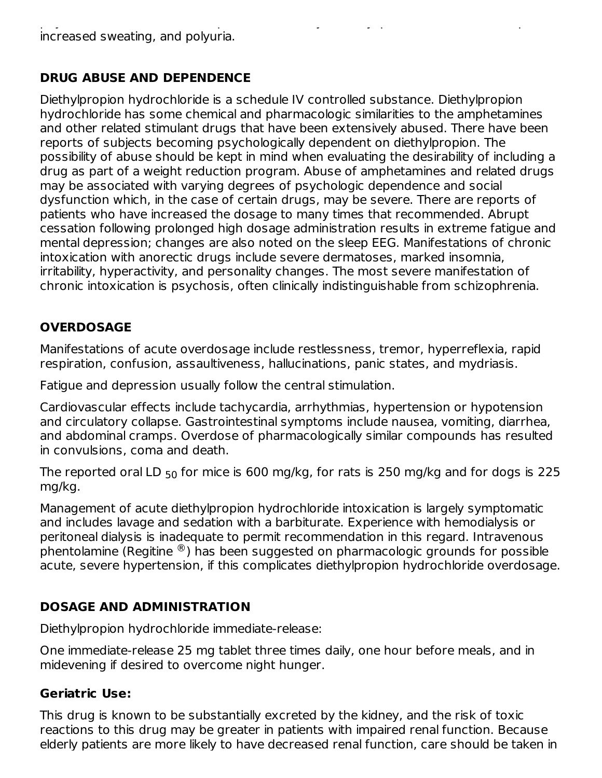## **DRUG ABUSE AND DEPENDENCE**

Diethylpropion hydrochloride is a schedule IV controlled substance. Diethylpropion hydrochloride has some chemical and pharmacologic similarities to the amphetamines and other related stimulant drugs that have been extensively abused. There have been reports of subjects becoming psychologically dependent on diethylpropion. The possibility of abuse should be kept in mind when evaluating the desirability of including a drug as part of a weight reduction program. Abuse of amphetamines and related drugs may be associated with varying degrees of psychologic dependence and social dysfunction which, in the case of certain drugs, may be severe. There are reports of patients who have increased the dosage to many times that recommended. Abrupt cessation following prolonged high dosage administration results in extreme fatigue and mental depression; changes are also noted on the sleep EEG. Manifestations of chronic intoxication with anorectic drugs include severe dermatoses, marked insomnia, irritability, hyperactivity, and personality changes. The most severe manifestation of chronic intoxication is psychosis, often clinically indistinguishable from schizophrenia.

# **OVERDOSAGE**

Manifestations of acute overdosage include restlessness, tremor, hyperreflexia, rapid respiration, confusion, assaultiveness, hallucinations, panic states, and mydriasis.

Fatigue and depression usually follow the central stimulation.

Cardiovascular effects include tachycardia, arrhythmias, hypertension or hypotension and circulatory collapse. Gastrointestinal symptoms include nausea, vomiting, diarrhea, and abdominal cramps. Overdose of pharmacologically similar compounds has resulted in convulsions, coma and death.

The reported oral LD  $_{50}$  for mice is 600 mg/kg, for rats is 250 mg/kg and for dogs is 225  $\,$ mg/kg.

Management of acute diethylpropion hydrochloride intoxication is largely symptomatic and includes lavage and sedation with a barbiturate. Experience with hemodialysis or peritoneal dialysis is inadequate to permit recommendation in this regard. Intravenous phentolamine (Regitine  $^{\circledR}$ ) has been suggested on pharmacologic grounds for possible acute, severe hypertension, if this complicates diethylpropion hydrochloride overdosage.

# **DOSAGE AND ADMINISTRATION**

Diethylpropion hydrochloride immediate-release:

One immediate-release 25 mg tablet three times daily, one hour before meals, and in midevening if desired to overcome night hunger.

# **Geriatric Use:**

This drug is known to be substantially excreted by the kidney, and the risk of toxic reactions to this drug may be greater in patients with impaired renal function. Because elderly patients are more likely to have decreased renal function, care should be taken in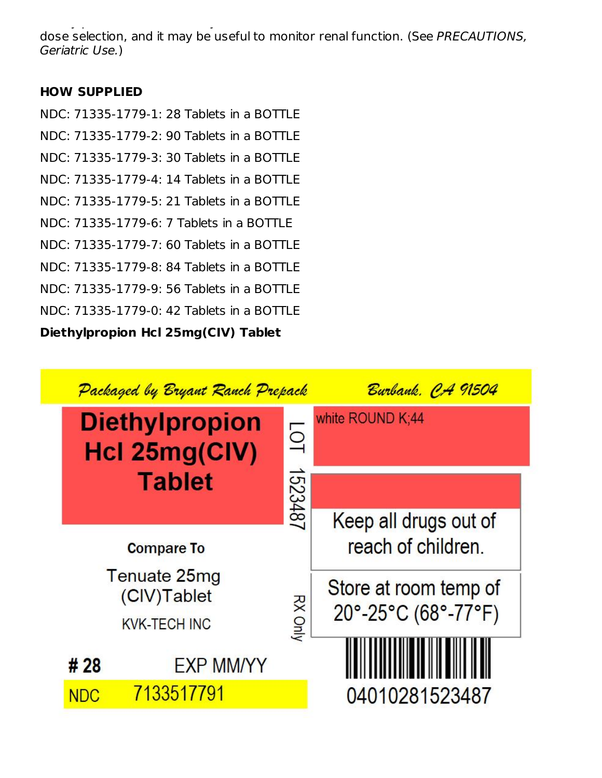elderly patients are more likely to have decreased renal function, care should be taken in dose selection, and it may be useful to monitor renal function. (See PRECAUTIONS, Geriatric Use.)

# **HOW SUPPLIED**

NDC: 71335-1779-1: 28 Tablets in a BOTTLE NDC: 71335-1779-2: 90 Tablets in a BOTTLE NDC: 71335-1779-3: 30 Tablets in a BOTTLE NDC: 71335-1779-4: 14 Tablets in a BOTTLE NDC: 71335-1779-5: 21 Tablets in a BOTTLE NDC: 71335-1779-6: 7 Tablets in a BOTTLE NDC: 71335-1779-7: 60 Tablets in a BOTTLE NDC: 71335-1779-8: 84 Tablets in a BOTTLE NDC: 71335-1779-9: 56 Tablets in a BOTTLE NDC: 71335-1779-0: 42 Tablets in a BOTTLE **Diethylpropion Hcl 25mg(CIV) Tablet**

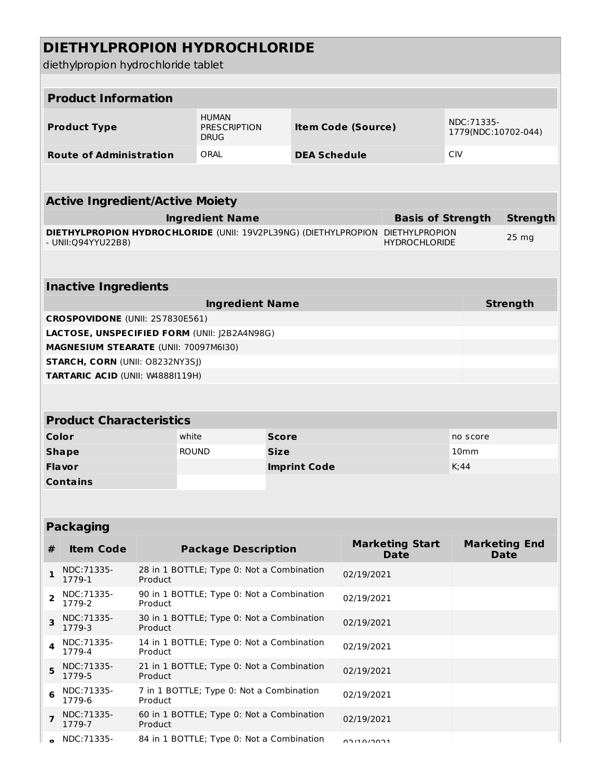|                                     | <b>DIETHYLPROPION HYDROCHLORIDE</b>                                                                          |                                                                    |                                           |                        |            |                                                                 |             |                                       |            |  |                                     |
|-------------------------------------|--------------------------------------------------------------------------------------------------------------|--------------------------------------------------------------------|-------------------------------------------|------------------------|------------|-----------------------------------------------------------------|-------------|---------------------------------------|------------|--|-------------------------------------|
| diethylpropion hydrochloride tablet |                                                                                                              |                                                                    |                                           |                        |            |                                                                 |             |                                       |            |  |                                     |
|                                     |                                                                                                              |                                                                    |                                           |                        |            |                                                                 |             |                                       |            |  |                                     |
|                                     | <b>Product Information</b>                                                                                   |                                                                    |                                           |                        |            |                                                                 |             |                                       |            |  |                                     |
|                                     | <b>Product Type</b>                                                                                          |                                                                    | <b>HUMAN</b><br><b>DRUG</b>               | <b>PRESCRIPTION</b>    |            | NDC: 71335-<br><b>Item Code (Source)</b><br>1779(NDC:10702-044) |             |                                       |            |  |                                     |
|                                     | <b>Route of Administration</b>                                                                               |                                                                    | ORAL                                      |                        |            | <b>DEA Schedule</b>                                             |             |                                       | <b>CIV</b> |  |                                     |
|                                     |                                                                                                              |                                                                    |                                           |                        |            |                                                                 |             |                                       |            |  |                                     |
|                                     | <b>Active Ingredient/Active Moiety</b>                                                                       |                                                                    |                                           |                        |            |                                                                 |             |                                       |            |  |                                     |
|                                     |                                                                                                              |                                                                    | <b>Ingredient Name</b>                    |                        |            |                                                                 |             | <b>Basis of Strength</b>              |            |  | <b>Strength</b>                     |
|                                     | <b>DIETHYLPROPION HYDROCHLORIDE (UNII: 19V2PL39NG) (DIETHYLPROPION DIETHYLPROPION</b><br>- UNII: 094YYU22B8) |                                                                    |                                           |                        |            |                                                                 |             | <b>HYDROCHLORIDE</b>                  |            |  | $25 \, mg$                          |
|                                     |                                                                                                              |                                                                    |                                           |                        |            |                                                                 |             |                                       |            |  |                                     |
|                                     | <b>Inactive Ingredients</b>                                                                                  |                                                                    |                                           |                        |            |                                                                 |             |                                       |            |  |                                     |
|                                     |                                                                                                              |                                                                    |                                           | <b>Ingredient Name</b> |            |                                                                 |             |                                       |            |  | <b>Strength</b>                     |
|                                     | CROSPOVIDONE (UNII: 2S7830E561)                                                                              |                                                                    |                                           |                        |            |                                                                 |             |                                       |            |  |                                     |
|                                     | LACTOSE, UNSPECIFIED FORM (UNII: J2B2A4N98G)                                                                 |                                                                    |                                           |                        |            |                                                                 |             |                                       |            |  |                                     |
|                                     | MAGNESIUM STEARATE (UNII: 70097M6I30)                                                                        |                                                                    |                                           |                        |            |                                                                 |             |                                       |            |  |                                     |
|                                     | <b>STARCH, CORN (UNII: O8232NY3SJ)</b><br>TARTARIC ACID (UNII: W4888I119H)                                   |                                                                    |                                           |                        |            |                                                                 |             |                                       |            |  |                                     |
|                                     |                                                                                                              |                                                                    |                                           |                        |            |                                                                 |             |                                       |            |  |                                     |
|                                     |                                                                                                              |                                                                    |                                           |                        |            |                                                                 |             |                                       |            |  |                                     |
|                                     | <b>Product Characteristics</b>                                                                               |                                                                    |                                           |                        |            |                                                                 |             |                                       |            |  |                                     |
| Color<br>white                      |                                                                                                              |                                                                    | <b>Score</b>                              |                        |            |                                                                 | no score    |                                       |            |  |                                     |
| <b>ROUND</b><br><b>Shape</b>        |                                                                                                              |                                                                    |                                           | <b>Size</b>            |            |                                                                 |             |                                       | 10mm       |  |                                     |
| <b>Flavor</b>                       |                                                                                                              |                                                                    |                                           | <b>Imprint Code</b>    |            |                                                                 |             | K;44                                  |            |  |                                     |
| <b>Contains</b>                     |                                                                                                              |                                                                    |                                           |                        |            |                                                                 |             |                                       |            |  |                                     |
|                                     |                                                                                                              |                                                                    |                                           |                        |            |                                                                 |             |                                       |            |  |                                     |
|                                     | <b>Packaging</b>                                                                                             |                                                                    |                                           |                        |            |                                                                 |             |                                       |            |  |                                     |
| #                                   | <b>Item Code</b>                                                                                             |                                                                    | <b>Package Description</b>                |                        |            |                                                                 |             | <b>Marketing Start</b><br><b>Date</b> |            |  | <b>Marketing End</b><br><b>Date</b> |
| $\mathbf 1$                         | NDC:71335-<br>1779-1                                                                                         | Product                                                            | 28 in 1 BOTTLE; Type 0: Not a Combination |                        |            |                                                                 | 02/19/2021  |                                       |            |  |                                     |
| $\overline{2}$                      | NDC:71335-<br>1779-2                                                                                         | 90 in 1 BOTTLE; Type 0: Not a Combination<br>02/19/2021<br>Product |                                           |                        |            |                                                                 |             |                                       |            |  |                                     |
| 3                                   | NDC:71335-<br>1779-3                                                                                         | 30 in 1 BOTTLE; Type 0: Not a Combination<br>Product               |                                           |                        | 02/19/2021 |                                                                 |             |                                       |            |  |                                     |
| 4                                   | NDC:71335-<br>1779-4                                                                                         | 14 in 1 BOTTLE; Type 0: Not a Combination<br>Product               |                                           |                        |            | 02/19/2021                                                      |             |                                       |            |  |                                     |
| 5                                   | NDC:71335-<br>1779-5                                                                                         | Product                                                            | 21 in 1 BOTTLE; Type 0: Not a Combination |                        |            |                                                                 | 02/19/2021  |                                       |            |  |                                     |
| 6                                   | NDC:71335-<br>1779-6                                                                                         | 7 in 1 BOTTLE; Type 0: Not a Combination<br>Product                |                                           |                        | 02/19/2021 |                                                                 |             |                                       |            |  |                                     |
| $\overline{\mathbf{z}}$             | NDC:71335-<br>1779-7                                                                                         | Product                                                            | 60 in 1 BOTTLE; Type 0: Not a Combination |                        |            |                                                                 | 02/19/2021  |                                       |            |  |                                     |
|                                     | NDC:71335-                                                                                                   |                                                                    | 84 in 1 BOTTLE; Type 0: Not a Combination |                        |            |                                                                 | 0.211010021 |                                       |            |  |                                     |